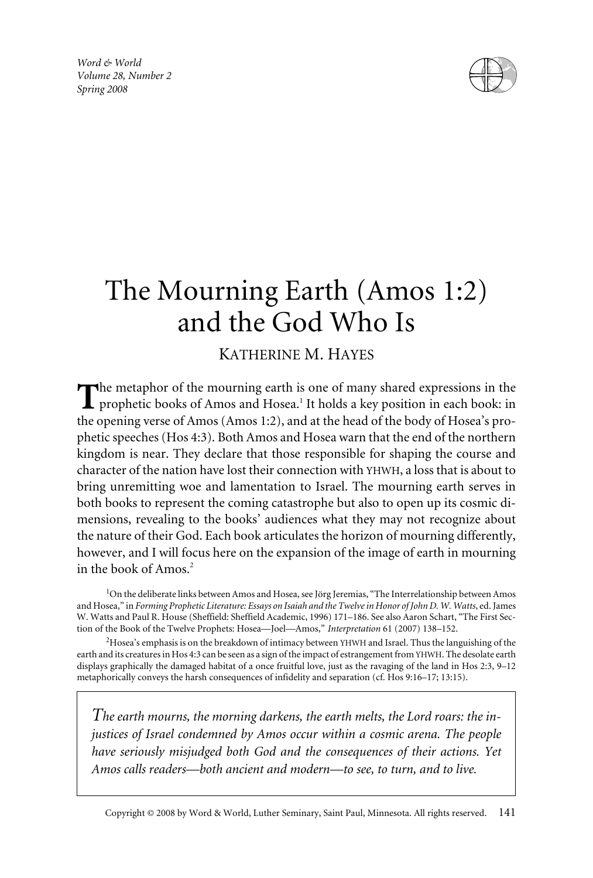*Word & World Volume 28, Number 2 Spring 2008*



# The Mourning Earth (Amos 1:2) and the God Who Is

## KATHERINE M. HAYES

The metaphor of the mourning earth is one of many shared expressions in the prophetic books of Amos and Hosea.1 It holds a key position in each book: in the opening verse of Amos (Amos 1:2), and at the head of the body of Hosea's prophetic speeches (Hos 4:3). Both Amos and Hosea warn that the end of the northern kingdom is near. They declare that those responsible for shaping the course and character of the nation have lost their connection with YHWH, a loss that is about to bring unremitting woe and lamentation to Israel. The mourning earth serves in both books to represent the coming catastrophe but also to open up its cosmic dimensions, revealing to the books' audiences what they may not recognize about the nature of their God. Each book articulates the horizon of mourning differently, however, and I will focus here on the expansion of the image of earth in mourning in the book of Amos.<sup>2</sup>

<sup>1</sup>On the deliberate links between Amos and Hosea, see Jörg Jeremias, "The Interrelationship between Amos and Hosea," in *Forming Prophetic Literature: Essays on Isaiah and the Twelve in Honor of John D. W. Watts*, ed. James W. Watts and Paul R. House (Sheffield: Sheffield Academic, 1996) 171–186. See also Aaron Schart, "The First Section of the Book of the Twelve Prophets: Hosea—Joel—Amos," *Interpretation* 61 (2007) 138–152.

 $^{2}$ Hosea's emphasis is on the breakdown of intimacy between YHWH and Israel. Thus the languishing of the earth and its creatures in Hos 4:3 can be seen as a sign of the impact of estrangement from YHWH. The desolate earth displays graphically the damaged habitat of a once fruitful love, just as the ravaging of the land in Hos 2:3, 9–12 metaphorically conveys the harsh consequences of infidelity and separation (cf. Hos 9:16–17; 13:15).

*The earth mourns, the morning darkens, the earth melts, the Lord roars: the injustices of Israel condemned by Amos occur within a cosmic arena. The people have seriously misjudged both God and the consequences of their actions. Yet Amos calls readers—both ancient and modern—to see, to turn, and to live.*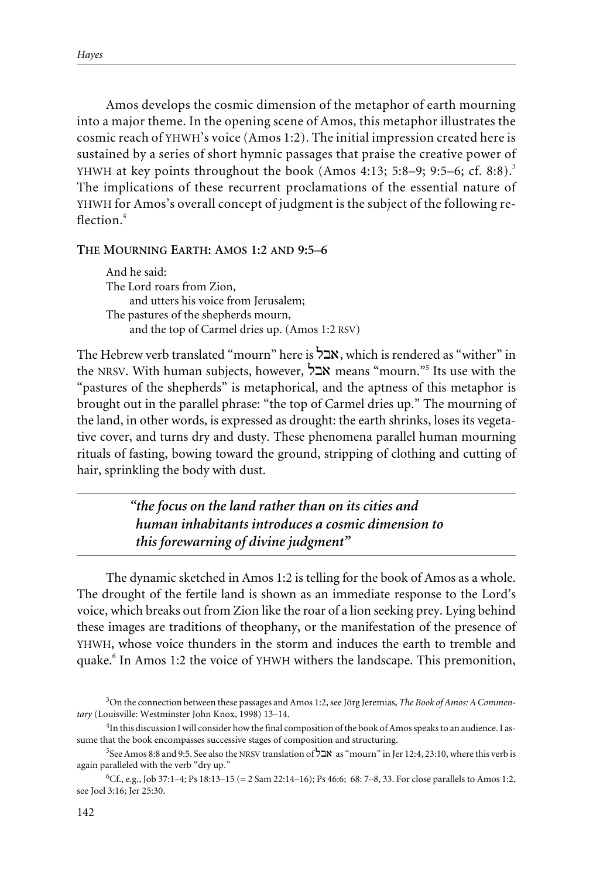Amos develops the cosmic dimension of the metaphor of earth mourning into a major theme. In the opening scene of Amos, this metaphor illustrates the cosmic reach of YHWH's voice (Amos 1:2). The initial impression created here is sustained by a series of short hymnic passages that praise the creative power of YHWH at key points throughout the book (Amos 4:13; 5:8–9; 9:5–6; cf. 8:8).<sup>3</sup> The implications of these recurrent proclamations of the essential nature of YHWH for Amos's overall concept of judgment is the subject of the following reflection.<sup>4</sup>

## **THE MOURNING EARTH: AMOS 1:2 AND 9:5–6**

And he said: The Lord roars from Zion, and utters his voice from Jerusalem; The pastures of the shepherds mourn, and the top of Carmel dries up. (Amos 1:2 RSV)

The Hebrew verb translated "mourn" here is  $\forall x$ , which is rendered as "wither" in the NRSV. With human subjects, however,  $\sum X$  means "mourn."<sup>5</sup> Its use with the "pastures of the shepherds" is metaphorical, and the aptness of this metaphor is brought out in the parallel phrase: "the top of Carmel dries up." The mourning of the land, in other words, is expressed as drought: the earth shrinks, loses its vegetative cover, and turns dry and dusty. These phenomena parallel human mourning rituals of fasting, bowing toward the ground, stripping of clothing and cutting of hair, sprinkling the body with dust.

> *"the focus on the land rather than on its cities and human inhabitants introduces a cosmic dimension to this forewarning of divine judgment"*

The dynamic sketched in Amos 1:2 is telling for the book of Amos as a whole. The drought of the fertile land is shown as an immediate response to the Lord's voice, which breaks out from Zion like the roar of a lion seeking prey. Lying behind these images are traditions of theophany, or the manifestation of the presence of YHWH, whose voice thunders in the storm and induces the earth to tremble and quake.<sup>6</sup> In Amos 1:2 the voice of YHWH withers the landscape. This premonition,

<sup>3</sup> On the connection between these passages and Amos 1:2, see Jörg Jeremias, *The Book of Amos: A Commentary* (Louisville: Westminster John Knox, 1998) 13–14.

<sup>&</sup>lt;sup>4</sup>In this discussion I will consider how the final composition of the book of Amos speaks to an audience. I assume that the book encompasses successive stages of composition and structuring.

<sup>5</sup> See Amos 8:8 and 9:5. See also the NRSV translation of  $\overleftrightarrow{2}$  as "mourn" in Jer 12:4, 23:10, where this verb is again paralleled with the verb "dry up."

<sup>6</sup> Cf., e.g., Job 37:1–4; Ps 18:13–15 (= 2 Sam 22:14–16); Ps 46:6; 68: 7–8, 33. For close parallels to Amos 1:2, see Joel 3:16; Jer 25:30.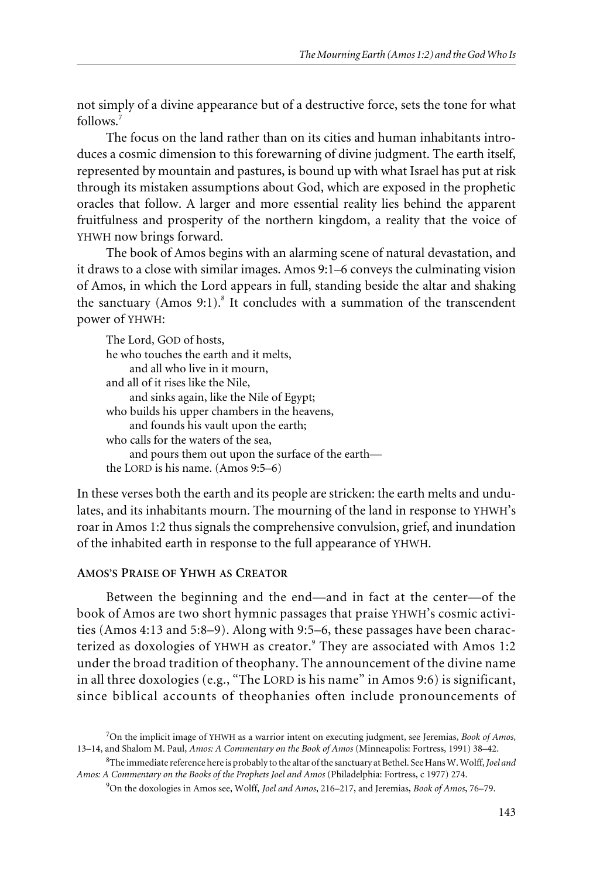not simply of a divine appearance but of a destructive force, sets the tone for what follows.<sup>7</sup>

The focus on the land rather than on its cities and human inhabitants introduces a cosmic dimension to this forewarning of divine judgment. The earth itself, represented by mountain and pastures, is bound up with what Israel has put at risk through its mistaken assumptions about God, which are exposed in the prophetic oracles that follow. A larger and more essential reality lies behind the apparent fruitfulness and prosperity of the northern kingdom, a reality that the voice of YHWH now brings forward.

The book of Amos begins with an alarming scene of natural devastation, and it draws to a close with similar images. Amos 9:1–6 conveys the culminating vision of Amos, in which the Lord appears in full, standing beside the altar and shaking the sanctuary (Amos 9:1).<sup>8</sup> It concludes with a summation of the transcendent power of YHWH:

| The Lord, GOD of hosts,                           |
|---------------------------------------------------|
| he who touches the earth and it melts,            |
| and all who live in it mourn,                     |
| and all of it rises like the Nile,                |
| and sinks again, like the Nile of Egypt;          |
| who builds his upper chambers in the heavens,     |
| and founds his vault upon the earth;              |
| who calls for the waters of the sea,              |
| and pours them out upon the surface of the earth— |
| the LORD is his name. $(Amos 9:5-6)$              |

In these verses both the earth and its people are stricken: the earth melts and undulates, and its inhabitants mourn. The mourning of the land in response to YHWH's roar in Amos 1:2 thus signals the comprehensive convulsion, grief, and inundation of the inhabited earth in response to the full appearance of YHWH.

## **AMOS'S PRAISE OF YHWH AS CREATOR**

Between the beginning and the end—and in fact at the center—of the book of Amos are two short hymnic passages that praise YHWH's cosmic activities (Amos 4:13 and 5:8–9). Along with 9:5–6, these passages have been characterized as doxologies of YHWH as creator.<sup>9</sup> They are associated with Amos 1:2 under the broad tradition of theophany. The announcement of the divine name in all three doxologies (e.g., "The LORD is his name" in Amos 9:6) is significant, since biblical accounts of theophanies often include pronouncements of

<sup>7</sup> On the implicit image of YHWH as a warrior intent on executing judgment, see Jeremias, *Book of Amos*, 13–14, and Shalom M. Paul, *Amos: A Commentary on the Book of Amos* (Minneapolis: Fortress, 1991) 38–42.

<sup>8</sup> The immediate reference here is probably to the altar of the sanctuary at Bethel. See Hans W. Wolff,*Joel and Amos: A Commentary on the Books of the Prophets Joel and Amos* (Philadelphia: Fortress, c 1977) 274.

<sup>9</sup> On the doxologies in Amos see, Wolff, *Joel and Amos*, 216–217, and Jeremias, *Book of Amos*, 76–79.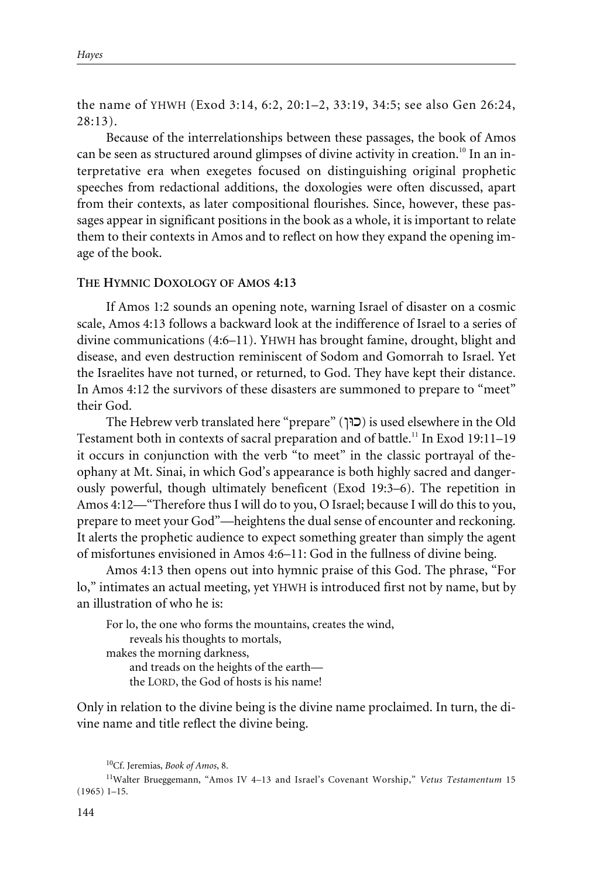the name of YHWH (Exod 3:14, 6:2, 20:1–2, 33:19, 34:5; see also Gen 26:24, 28:13).

Because of the interrelationships between these passages, the book of Amos can be seen as structured around glimpses of divine activity in creation.<sup>10</sup> In an interpretative era when exegetes focused on distinguishing original prophetic speeches from redactional additions, the doxologies were often discussed, apart from their contexts, as later compositional flourishes. Since, however, these passages appear in significant positions in the book as a whole, it is important to relate them to their contexts in Amos and to reflect on how they expand the opening image of the book.

### **THE HYMNIC DOXOLOGY OF AMOS 4:13**

If Amos 1:2 sounds an opening note, warning Israel of disaster on a cosmic scale, Amos 4:13 follows a backward look at the indifference of Israel to a series of divine communications (4:6–11). YHWH has brought famine, drought, blight and disease, and even destruction reminiscent of Sodom and Gomorrah to Israel. Yet the Israelites have not turned, or returned, to God. They have kept their distance. In Amos 4:12 the survivors of these disasters are summoned to prepare to "meet" their God.

The Hebrew verb translated here "prepare" (כוּן) is used elsewhere in the Old Testament both in contexts of sacral preparation and of battle.<sup>11</sup> In Exod 19:11-19 it occurs in conjunction with the verb "to meet" in the classic portrayal of theophany at Mt. Sinai, in which God's appearance is both highly sacred and dangerously powerful, though ultimately beneficent (Exod 19:3–6). The repetition in Amos 4:12—"Therefore thus I will do to you, O Israel; because I will do this to you, prepare to meet your God"—heightens the dual sense of encounter and reckoning. It alerts the prophetic audience to expect something greater than simply the agent of misfortunes envisioned in Amos 4:6–11: God in the fullness of divine being.

Amos 4:13 then opens out into hymnic praise of this God. The phrase, "For lo," intimates an actual meeting, yet YHWH is introduced first not by name, but by an illustration of who he is:

For lo, the one who forms the mountains, creates the wind, reveals his thoughts to mortals, makes the morning darkness, and treads on the heights of the earth the LORD, the God of hosts is his name!

Only in relation to the divine being is the divine name proclaimed. In turn, the divine name and title reflect the divine being.

<sup>10</sup>Cf. Jeremias, *Book of Amos*, 8.

<sup>11</sup>Walter Brueggemann, "Amos IV 4–13 and Israel's Covenant Worship," *Vetus Testamentum* 15 (1965) 1–15.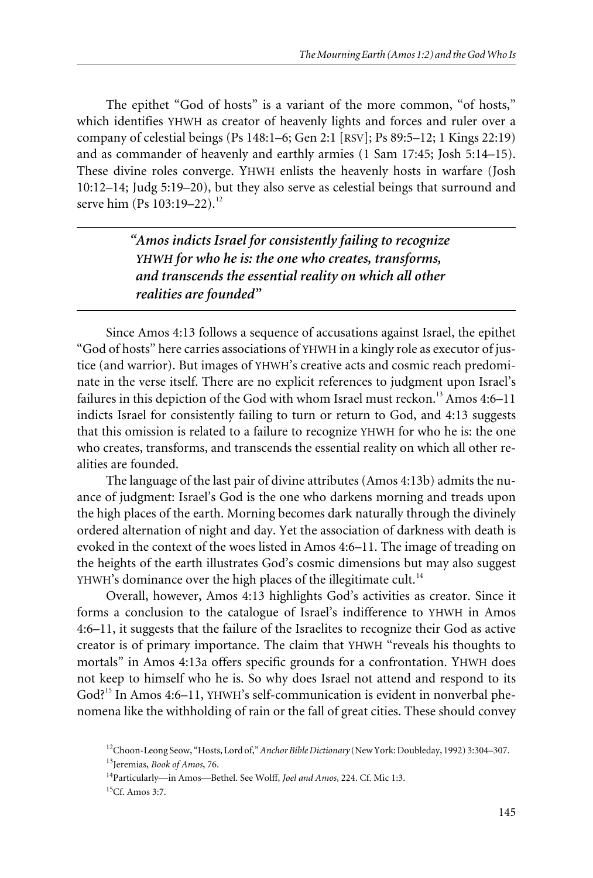The epithet "God of hosts" is a variant of the more common, "of hosts," which identifies YHWH as creator of heavenly lights and forces and ruler over a company of celestial beings (Ps 148:1–6; Gen 2:1 [RSV]; Ps 89:5–12; 1 Kings 22:19) and as commander of heavenly and earthly armies (1 Sam 17:45; Josh 5:14–15). These divine roles converge. YHWH enlists the heavenly hosts in warfare (Josh 10:12–14; Judg 5:19–20), but they also serve as celestial beings that surround and serve him (Ps 103:19-22).<sup>12</sup>

> *"Amos indicts Israel for consistently failing to recognize YHWH for who he is: the one who creates, transforms, and transcends the essential reality on which all other realities are founded"*

Since Amos 4:13 follows a sequence of accusations against Israel, the epithet "God of hosts" here carries associations of YHWH in a kingly role as executor of justice (and warrior). But images of YHWH's creative acts and cosmic reach predominate in the verse itself. There are no explicit references to judgment upon Israel's failures in this depiction of the God with whom Israel must reckon.<sup>13</sup> Amos 4:6–11 indicts Israel for consistently failing to turn or return to God, and 4:13 suggests that this omission is related to a failure to recognize YHWH for who he is: the one who creates, transforms, and transcends the essential reality on which all other realities are founded.

The language of the last pair of divine attributes (Amos 4:13b) admits the nuance of judgment: Israel's God is the one who darkens morning and treads upon the high places of the earth. Morning becomes dark naturally through the divinely ordered alternation of night and day. Yet the association of darkness with death is evoked in the context of the woes listed in Amos 4:6–11. The image of treading on the heights of the earth illustrates God's cosmic dimensions but may also suggest YHWH's dominance over the high places of the illegitimate cult.<sup>14</sup>

Overall, however, Amos 4:13 highlights God's activities as creator. Since it forms a conclusion to the catalogue of Israel's indifference to YHWH in Amos 4:6–11, it suggests that the failure of the Israelites to recognize their God as active creator is of primary importance. The claim that YHWH "reveals his thoughts to mortals" in Amos 4:13a offers specific grounds for a confrontation. YHWH does not keep to himself who he is. So why does Israel not attend and respond to its God?<sup>15</sup> In Amos 4:6–11, YHWH's self-communication is evident in nonverbal phenomena like the withholding of rain or the fall of great cities. These should convey

<sup>12</sup>Choon-Leong Seow, "Hosts, Lord of,"*Anchor Bible Dictionary* (New York: Doubleday, 1992) 3:304–307. 13Jeremias, *Book of Amos*, 76.

<sup>14</sup>Particularly—in Amos—Bethel. See Wolff, *Joel and Amos*, 224. Cf. Mic 1:3.

<sup>15</sup>Cf. Amos 3:7.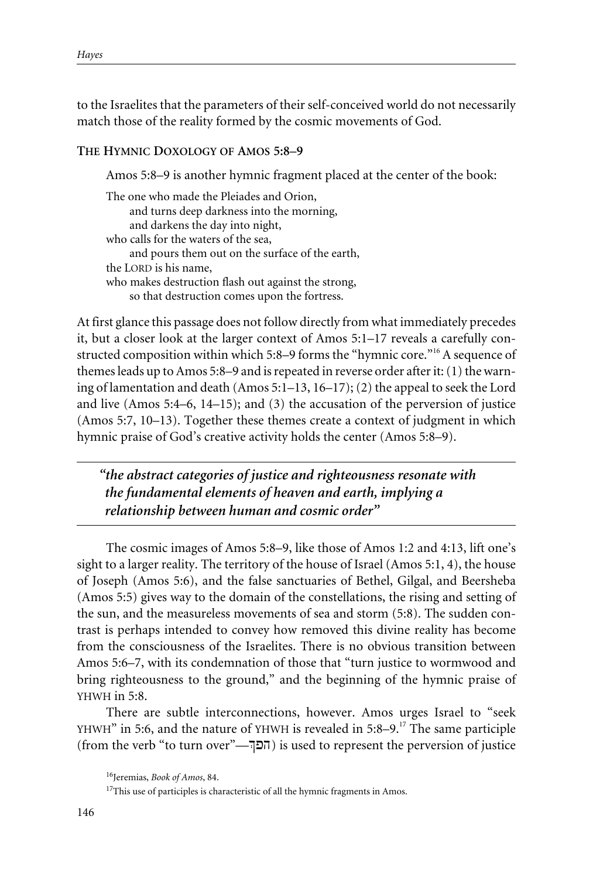to the Israelites that the parameters of their self-conceived world do not necessarily match those of the reality formed by the cosmic movements of God.

#### **THE HYMNIC DOXOLOGY OF AMOS 5:8–9**

Amos 5:8–9 is another hymnic fragment placed at the center of the book:

The one who made the Pleiades and Orion, and turns deep darkness into the morning, and darkens the day into night, who calls for the waters of the sea, and pours them out on the surface of the earth, the LORD is his name, who makes destruction flash out against the strong, so that destruction comes upon the fortress.

At first glance this passage does not follow directly from what immediately precedes it, but a closer look at the larger context of Amos 5:1–17 reveals a carefully constructed composition within which 5:8–9 forms the "hymnic core."16 A sequence of themes leads up to Amos 5:8–9 and is repeated in reverse order after it: (1) the warning of lamentation and death (Amos 5:1–13, 16–17); (2) the appeal to seek the Lord and live (Amos 5:4–6, 14–15); and (3) the accusation of the perversion of justice (Amos 5:7, 10–13). Together these themes create a context of judgment in which hymnic praise of God's creative activity holds the center (Amos 5:8–9).

*"the abstract categories of justice and righteousness resonate with the fundamental elements of heaven and earth, implying a relationship between human and cosmic order"*

The cosmic images of Amos 5:8–9, like those of Amos 1:2 and 4:13, lift one's sight to a larger reality. The territory of the house of Israel (Amos 5:1, 4), the house of Joseph (Amos 5:6), and the false sanctuaries of Bethel, Gilgal, and Beersheba (Amos 5:5) gives way to the domain of the constellations, the rising and setting of the sun, and the measureless movements of sea and storm (5:8). The sudden contrast is perhaps intended to convey how removed this divine reality has become from the consciousness of the Israelites. There is no obvious transition between Amos 5:6–7, with its condemnation of those that "turn justice to wormwood and bring righteousness to the ground," and the beginning of the hymnic praise of YHWH in 5:8.

There are subtle interconnections, however. Amos urges Israel to "seek YHWH" in 5:6, and the nature of YHWH is revealed in 5:8–9.<sup>17</sup> The same participle (from the verb "to turn over"—Eph) is used to represent the perversion of justice

<sup>16</sup>Jeremias, *Book of Amos*, 84.

 $17$ This use of participles is characteristic of all the hymnic fragments in Amos.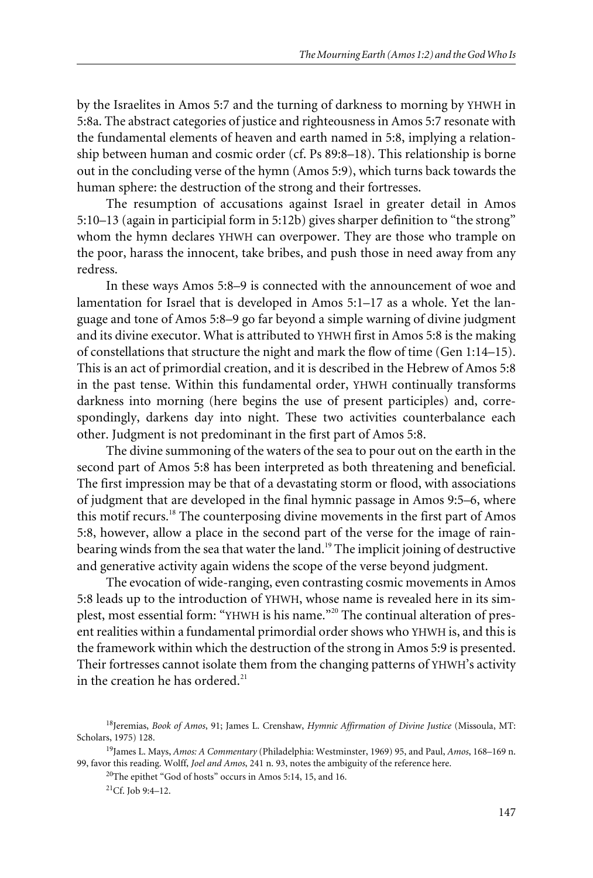by the Israelites in Amos 5:7 and the turning of darkness to morning by YHWH in 5:8a. The abstract categories of justice and righteousness in Amos 5:7 resonate with the fundamental elements of heaven and earth named in 5:8, implying a relationship between human and cosmic order (cf. Ps 89:8–18). This relationship is borne out in the concluding verse of the hymn (Amos 5:9), which turns back towards the human sphere: the destruction of the strong and their fortresses.

The resumption of accusations against Israel in greater detail in Amos 5:10–13 (again in participial form in 5:12b) gives sharper definition to "the strong" whom the hymn declares YHWH can overpower. They are those who trample on the poor, harass the innocent, take bribes, and push those in need away from any redress.

In these ways Amos 5:8–9 is connected with the announcement of woe and lamentation for Israel that is developed in Amos 5:1–17 as a whole. Yet the language and tone of Amos 5:8–9 go far beyond a simple warning of divine judgment and its divine executor. What is attributed to YHWH first in Amos 5:8 is the making of constellations that structure the night and mark the flow of time (Gen 1:14–15). This is an act of primordial creation, and it is described in the Hebrew of Amos 5:8 in the past tense. Within this fundamental order, YHWH continually transforms darkness into morning (here begins the use of present participles) and, correspondingly, darkens day into night. These two activities counterbalance each other. Judgment is not predominant in the first part of Amos 5:8.

The divine summoning of the waters of the sea to pour out on the earth in the second part of Amos 5:8 has been interpreted as both threatening and beneficial. The first impression may be that of a devastating storm or flood, with associations of judgment that are developed in the final hymnic passage in Amos 9:5–6, where this motif recurs.<sup>18</sup> The counterposing divine movements in the first part of Amos 5:8, however, allow a place in the second part of the verse for the image of rainbearing winds from the sea that water the land.<sup>19</sup> The implicit joining of destructive and generative activity again widens the scope of the verse beyond judgment.

The evocation of wide-ranging, even contrasting cosmic movements in Amos 5:8 leads up to the introduction of YHWH, whose name is revealed here in its simplest, most essential form: "YHWH is his name."<sup>20</sup> The continual alteration of present realities within a fundamental primordial order shows who YHWH is, and this is the framework within which the destruction of the strong in Amos 5:9 is presented. Their fortresses cannot isolate them from the changing patterns of YHWH's activity in the creation he has ordered. $^{21}$ 

20The epithet "God of hosts" occurs in Amos 5:14, 15, and 16.

<sup>18</sup>Jeremias, *Book of Amos*, 91; James L. Crenshaw, *Hymnic Affirmation of Divine Justice* (Missoula, MT: Scholars, 1975) 128.

<sup>19</sup>James L. Mays, *Amos: A Commentary* (Philadelphia: Westminster, 1969) 95, and Paul, *Amos*, 168–169 n. 99, favor this reading. Wolff, *Joel and Amos*, 241 n. 93, notes the ambiguity of the reference here.

 ${}^{21}$ Cf. Job 9:4–12.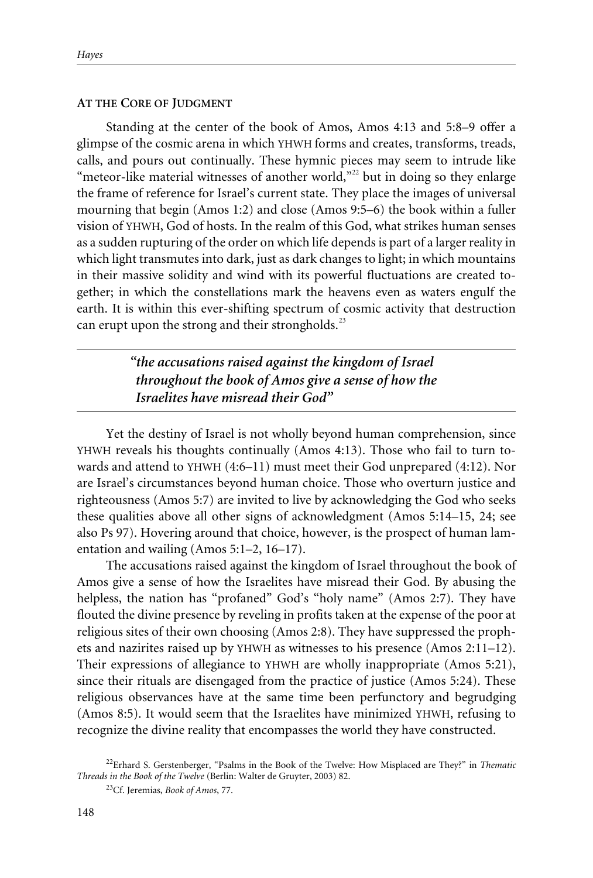#### **AT THE CORE OF JUDGMENT**

Standing at the center of the book of Amos, Amos 4:13 and 5:8–9 offer a glimpse of the cosmic arena in which YHWH forms and creates, transforms, treads, calls, and pours out continually. These hymnic pieces may seem to intrude like "meteor-like material witnesses of another world, $"^{22}$  but in doing so they enlarge the frame of reference for Israel's current state. They place the images of universal mourning that begin (Amos 1:2) and close (Amos 9:5–6) the book within a fuller vision of YHWH, God of hosts. In the realm of this God, what strikes human senses as a sudden rupturing of the order on which life depends is part of a larger reality in which light transmutes into dark, just as dark changes to light; in which mountains in their massive solidity and wind with its powerful fluctuations are created together; in which the constellations mark the heavens even as waters engulf the earth. It is within this ever-shifting spectrum of cosmic activity that destruction can erupt upon the strong and their strongholds. $^{23}$ 

> *"the accusations raised against the kingdom of Israel throughout the book of Amos give a sense of how the Israelites have misread their God"*

Yet the destiny of Israel is not wholly beyond human comprehension, since YHWH reveals his thoughts continually (Amos 4:13). Those who fail to turn towards and attend to YHWH (4:6–11) must meet their God unprepared (4:12). Nor are Israel's circumstances beyond human choice. Those who overturn justice and righteousness (Amos 5:7) are invited to live by acknowledging the God who seeks these qualities above all other signs of acknowledgment (Amos 5:14–15, 24; see also Ps 97). Hovering around that choice, however, is the prospect of human lamentation and wailing (Amos 5:1–2, 16–17).

The accusations raised against the kingdom of Israel throughout the book of Amos give a sense of how the Israelites have misread their God. By abusing the helpless, the nation has "profaned" God's "holy name" (Amos 2:7). They have flouted the divine presence by reveling in profits taken at the expense of the poor at religious sites of their own choosing (Amos 2:8). They have suppressed the prophets and nazirites raised up by YHWH as witnesses to his presence (Amos 2:11–12). Their expressions of allegiance to YHWH are wholly inappropriate (Amos 5:21), since their rituals are disengaged from the practice of justice (Amos 5:24). These religious observances have at the same time been perfunctory and begrudging (Amos 8:5). It would seem that the Israelites have minimized YHWH, refusing to recognize the divine reality that encompasses the world they have constructed.

<sup>22</sup>Erhard S. Gerstenberger, "Psalms in the Book of the Twelve: How Misplaced are They?" in *Thematic Threads in the Book of the Twelve* (Berlin: Walter de Gruyter, 2003) 82.

<sup>23</sup>Cf. Jeremias, *Book of Amos*, 77.